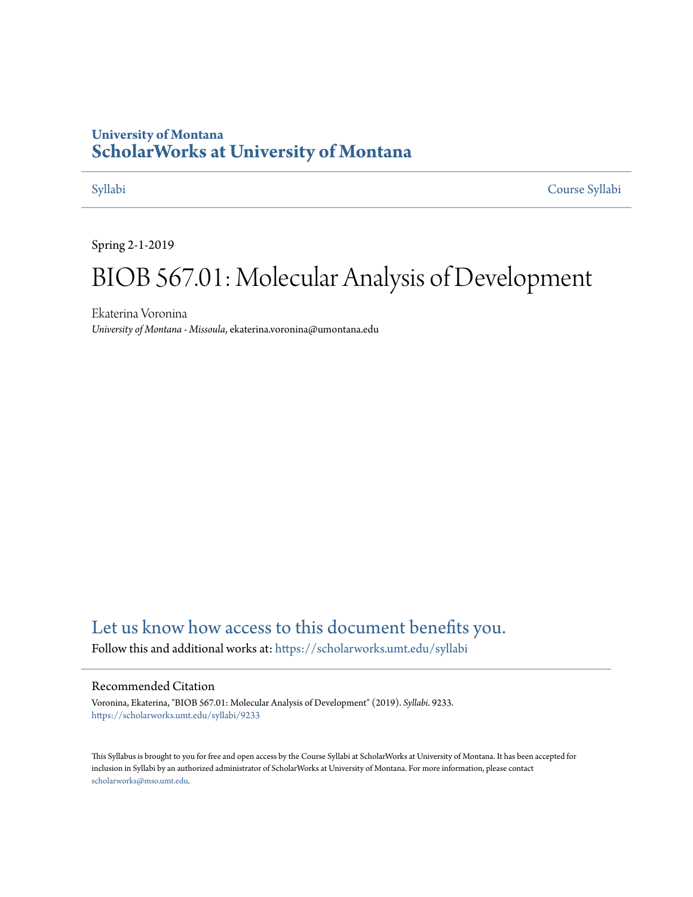## **University of Montana [ScholarWorks at University of Montana](https://scholarworks.umt.edu?utm_source=scholarworks.umt.edu%2Fsyllabi%2F9233&utm_medium=PDF&utm_campaign=PDFCoverPages)**

[Syllabi](https://scholarworks.umt.edu/syllabi?utm_source=scholarworks.umt.edu%2Fsyllabi%2F9233&utm_medium=PDF&utm_campaign=PDFCoverPages) [Course Syllabi](https://scholarworks.umt.edu/course_syllabi?utm_source=scholarworks.umt.edu%2Fsyllabi%2F9233&utm_medium=PDF&utm_campaign=PDFCoverPages)

Spring 2-1-2019

# BIOB 567.01: Molecular Analysis of Development

Ekaterina Voronina *University of Montana - Missoula*, ekaterina.voronina@umontana.edu

# [Let us know how access to this document benefits you.](https://goo.gl/forms/s2rGfXOLzz71qgsB2)

Follow this and additional works at: [https://scholarworks.umt.edu/syllabi](https://scholarworks.umt.edu/syllabi?utm_source=scholarworks.umt.edu%2Fsyllabi%2F9233&utm_medium=PDF&utm_campaign=PDFCoverPages)

#### Recommended Citation

Voronina, Ekaterina, "BIOB 567.01: Molecular Analysis of Development" (2019). *Syllabi*. 9233. [https://scholarworks.umt.edu/syllabi/9233](https://scholarworks.umt.edu/syllabi/9233?utm_source=scholarworks.umt.edu%2Fsyllabi%2F9233&utm_medium=PDF&utm_campaign=PDFCoverPages)

This Syllabus is brought to you for free and open access by the Course Syllabi at ScholarWorks at University of Montana. It has been accepted for inclusion in Syllabi by an authorized administrator of ScholarWorks at University of Montana. For more information, please contact [scholarworks@mso.umt.edu](mailto:scholarworks@mso.umt.edu).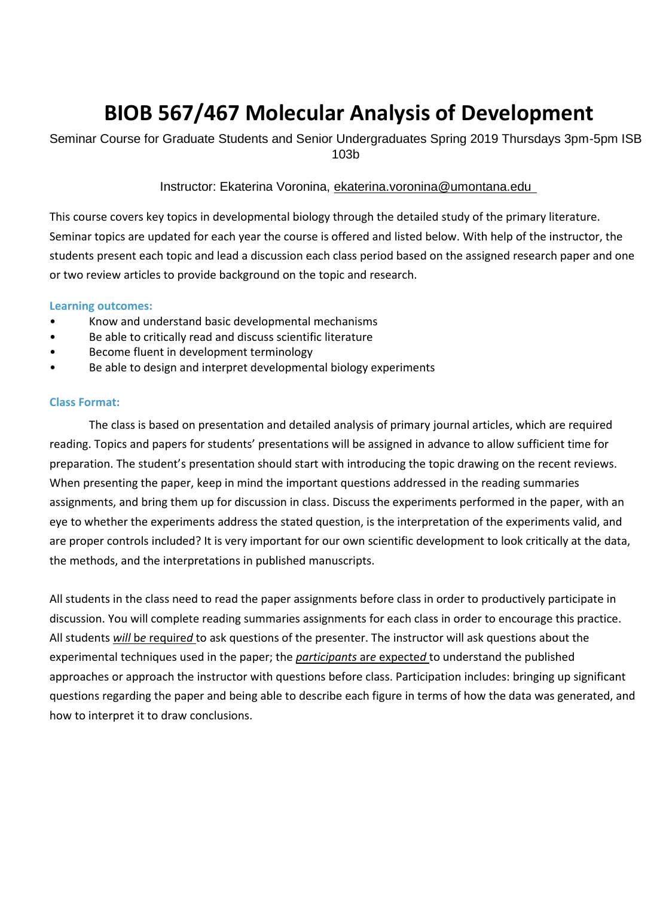# **BIOB 567/467 Molecular Analysis of Development**

Seminar Course for Graduate Students and Senior Undergraduates Spring 2019 Thursdays 3pm-5pm ISB 103b

Instructor: Ekaterina Voronina, ekaterina.voronina@umontana.edu

This course covers key topics in developmental biology through the detailed study of the primary literature. Seminar topics are updated for each year the course is offered and listed below. With help of the instructor, the students present each topic and lead a discussion each class period based on the assigned research paper and one or two review articles to provide background on the topic and research.

#### **Learning outcomes:**

- Know and understand basic developmental mechanisms
- Be able to critically read and discuss scientific literature
- Become fluent in development terminology
- Be able to design and interpret developmental biology experiments

#### **Class Format:**

The class is based on presentation and detailed analysis of primary journal articles, which are required reading. Topics and papers for students' presentations will be assigned in advance to allow sufficient time for preparation. The student's presentation should start with introducing the topic drawing on the recent reviews. When presenting the paper, keep in mind the important questions addressed in the reading summaries assignments, and bring them up for discussion in class. Discuss the experiments performed in the paper, with an eye to whether the experiments address the stated question, is the interpretation of the experiments valid, and are proper controls included? It is very important for our own scientific development to look critically at the data, the methods, and the interpretations in published manuscripts.

All students in the class need to read the paper assignments before class in order to productively participate in discussion. You will complete reading summaries assignments for each class in order to encourage this practice. All students *will* b*e* require*d* to ask questions of the presenter. The instructor will ask questions about the experimental techniques used in the paper; the *participants* ar*e* expecte*d* to understand the published approaches or approach the instructor with questions before class. Participation includes: bringing up significant questions regarding the paper and being able to describe each figure in terms of how the data was generated, and how to interpret it to draw conclusions.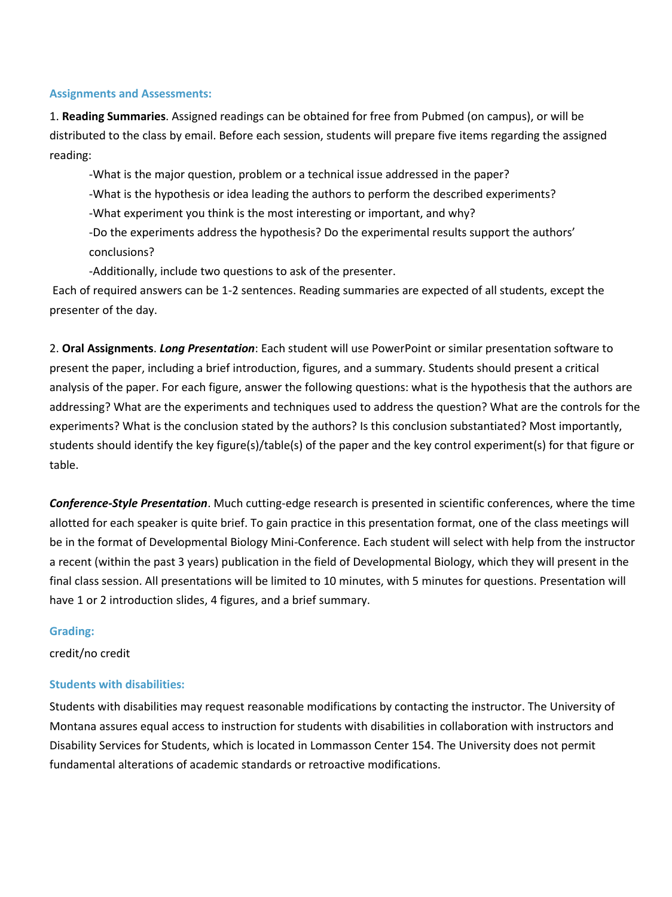#### **Assignments and Assessments:**

1. **Reading Summaries**. Assigned readings can be obtained for free from Pubmed (on campus), or will be distributed to the class by email. Before each session, students will prepare five items regarding the assigned reading:

-What is the major question, problem or a technical issue addressed in the paper?

-What is the hypothesis or idea leading the authors to perform the described experiments?

-What experiment you think is the most interesting or important, and why?

-Do the experiments address the hypothesis? Do the experimental results support the authors' conclusions?

-Additionally, include two questions to ask of the presenter.

Each of required answers can be 1-2 sentences. Reading summaries are expected of all students, except the presenter of the day.

2. **Oral Assignments**. *Long Presentation*: Each student will use PowerPoint or similar presentation software to present the paper, including a brief introduction, figures, and a summary. Students should present a critical analysis of the paper. For each figure, answer the following questions: what is the hypothesis that the authors are addressing? What are the experiments and techniques used to address the question? What are the controls for the experiments? What is the conclusion stated by the authors? Is this conclusion substantiated? Most importantly, students should identify the key figure(s)/table(s) of the paper and the key control experiment(s) for that figure or table.

*Conference-Style Presentation*. Much cutting-edge research is presented in scientific conferences, where the time allotted for each speaker is quite brief. To gain practice in this presentation format, one of the class meetings will be in the format of Developmental Biology Mini-Conference. Each student will select with help from the instructor a recent (within the past 3 years) publication in the field of Developmental Biology, which they will present in the final class session. All presentations will be limited to 10 minutes, with 5 minutes for questions. Presentation will have 1 or 2 introduction slides, 4 figures, and a brief summary.

#### **Grading:**

credit/no credit

#### **Students with disabilities:**

Students with disabilities may request reasonable modifications by contacting the instructor. The University of Montana assures equal access to instruction for students with disabilities in collaboration with instructors and Disability Services for Students, which is located in Lommasson Center 154. The University does not permit fundamental alterations of academic standards or retroactive modifications.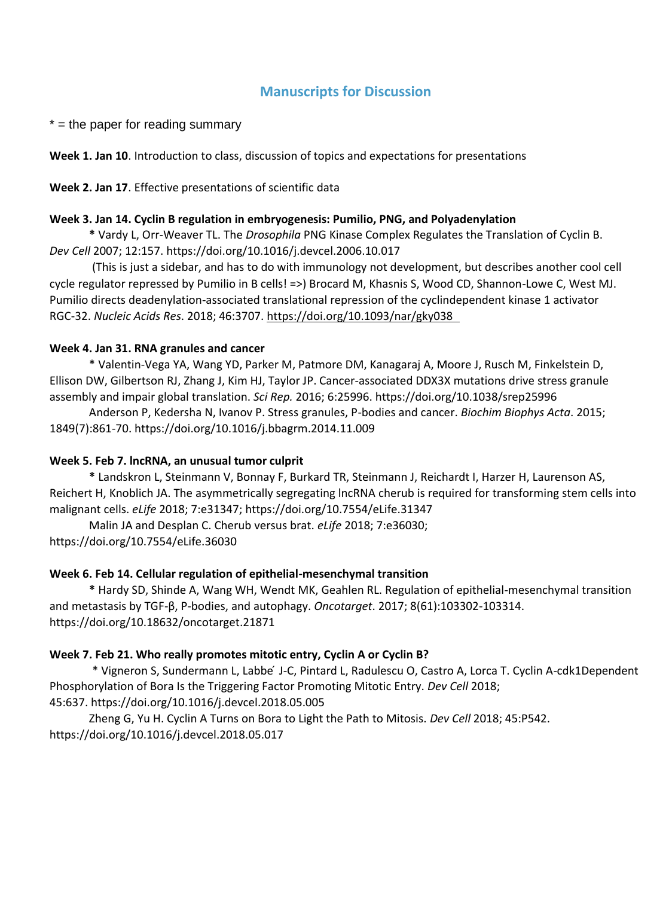### **Manuscripts for Discussion**

 $*$  = the paper for reading summary

**Week 1. Jan 10**. Introduction to class, discussion of topics and expectations for presentations

**Week 2. Jan 17**. Effective presentations of scientific data

#### **Week 3. Jan 14. Cyclin B regulation in embryogenesis: Pumilio, PNG, and Polyadenylation**

**\*** Vardy L, Orr-Weaver TL. The *Drosophila* PNG Kinase Complex Regulates the Translation of Cyclin B. *Dev Cell* 2007; 12:157. https://doi.org/10.1016/j.devcel.2006.10.017

(This is just a sidebar, and has to do with immunology not development, but describes another cool cell cycle regulator repressed by Pumilio in B cells! =>) Brocard M, Khasnis S, Wood CD, Shannon-Lowe C, West MJ. Pumilio directs deadenylation-associated translational repression of the cyclindependent kinase 1 activator RGC-32. *Nucleic Acids Res*. 2018; 46:3707. https://doi.org/10.1093/nar/gky038

#### **Week 4. Jan 31. RNA granules and cancer**

\* Valentin-Vega YA, Wang YD, Parker M, Patmore DM, Kanagaraj A, Moore J, Rusch M, Finkelstein D, Ellison DW, Gilbertson RJ, Zhang J, Kim HJ, Taylor JP. Cancer-associated DDX3X mutations drive stress granule assembly and impair global translation. *Sci Rep.* 2016; 6:25996. https://doi.org/10.1038/srep25996

Anderson P, Kedersha N, Ivanov P. Stress granules, P-bodies and cancer. *Biochim Biophys Acta*. 2015; 1849(7):861-70. https://doi.org/10.1016/j.bbagrm.2014.11.009

### **Week 5. Feb 7. lncRNA, an unusual tumor culprit**

**\*** Landskron L, Steinmann V, Bonnay F, Burkard TR, Steinmann J, Reichardt I, Harzer H, Laurenson AS, Reichert H, Knoblich JA. The asymmetrically segregating lncRNA cherub is required for transforming stem cells into malignant cells. *eLife* 2018; 7:e31347; https://doi.org/10.7554/eLife.31347

Malin JA and Desplan C. Cherub versus brat. *eLife* 2018; 7:e36030; https://doi.org/10.7554/eLife.36030

### **Week 6. Feb 14. Cellular regulation of epithelial-mesenchymal transition**

**\*** Hardy SD, Shinde A, Wang WH, Wendt MK, Geahlen RL. Regulation of epithelial-mesenchymal transition and metastasis by TGF-β, P-bodies, and autophagy. *Oncotarget*. 2017; 8(61):103302-103314. https://doi.org/10.18632/oncotarget.21871

### **Week 7. Feb 21. Who really promotes mitotic entry, Cyclin A or Cyclin B?**

\* Vigneron S, Sundermann L, Labbe ́J-C, Pintard L, Radulescu O, Castro A, Lorca T. Cyclin A-cdk1Dependent Phosphorylation of Bora Is the Triggering Factor Promoting Mitotic Entry. *Dev Cell* 2018; 45:637. https://doi.org/10.1016/j.devcel.2018.05.005

Zheng G, Yu H. Cyclin A Turns on Bora to Light the Path to Mitosis. *Dev Cell* 2018; 45:P542. https://doi.org/10.1016/j.devcel.2018.05.017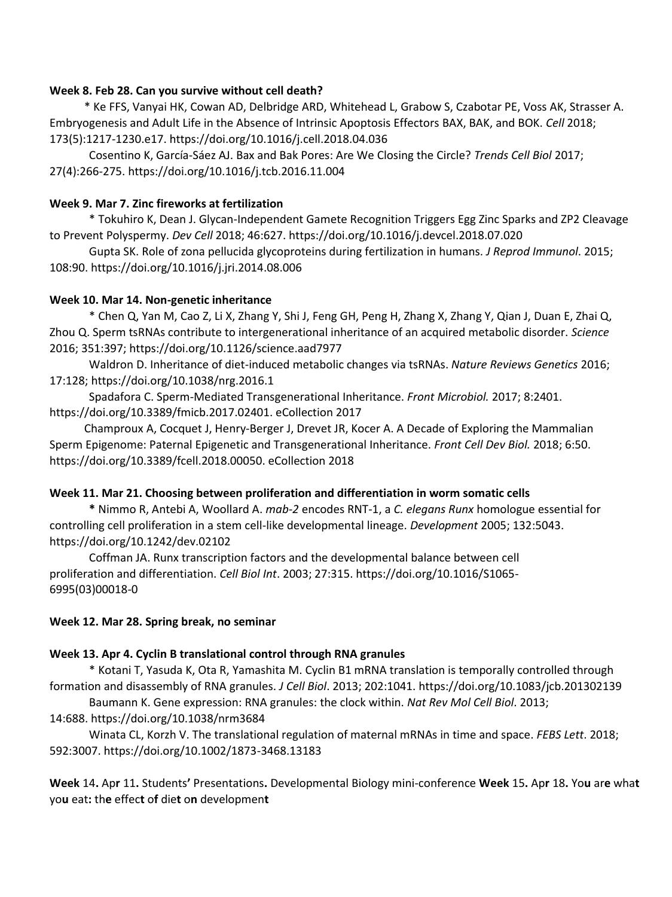#### **Week 8. Feb 28. Can you survive without cell death?**

\* Ke FFS, Vanyai HK, Cowan AD, Delbridge ARD, Whitehead L, Grabow S, Czabotar PE, Voss AK, Strasser A. Embryogenesis and Adult Life in the Absence of Intrinsic Apoptosis Effectors BAX, BAK, and BOK. *Cell* 2018; 173(5):1217-1230.e17. https://doi.org/10.1016/j.cell.2018.04.036

Cosentino K, García-Sáez AJ. Bax and Bak Pores: Are We Closing the Circle? *Trends Cell Biol* 2017; 27(4):266-275. https://doi.org/10.1016/j.tcb.2016.11.004

### **Week 9. Mar 7. Zinc fireworks at fertilization**

\* Tokuhiro K, Dean J. Glycan-Independent Gamete Recognition Triggers Egg Zinc Sparks and ZP2 Cleavage to Prevent Polyspermy. *Dev Cell* 2018; 46:627. https://doi.org/10.1016/j.devcel.2018.07.020

Gupta SK. Role of zona pellucida glycoproteins during fertilization in humans. *J Reprod Immunol*. 2015; 108:90. https://doi.org/10.1016/j.jri.2014.08.006

#### **Week 10. Mar 14. Non-genetic inheritance**

\* Chen Q, Yan M, Cao Z, Li X, Zhang Y, Shi J, Feng GH, Peng H, Zhang X, Zhang Y, Qian J, Duan E, Zhai Q, Zhou Q. Sperm tsRNAs contribute to intergenerational inheritance of an acquired metabolic disorder. *Science*  2016; 351:397; https://doi.org/10.1126/science.aad7977

Waldron D. Inheritance of diet-induced metabolic changes via tsRNAs. *Nature Reviews Genetics* 2016; 17:128; https://doi.org/10.1038/nrg.2016.1

Spadafora C. Sperm-Mediated Transgenerational Inheritance. *Front Microbiol.* 2017; 8:2401. https://doi.org/10.3389/fmicb.2017.02401. eCollection 2017

Champroux A, Cocquet J, Henry-Berger J, Drevet JR, Kocer A. A Decade of Exploring the Mammalian Sperm Epigenome: Paternal Epigenetic and Transgenerational Inheritance. *Front Cell Dev Biol.* 2018; 6:50. https://doi.org/10.3389/fcell.2018.00050. eCollection 2018

### **Week 11. Mar 21. Choosing between proliferation and differentiation in worm somatic cells**

**\*** Nimmo R, Antebi A, Woollard A. *mab-2* encodes RNT-1, a *C. elegans Runx* homologue essential for controlling cell proliferation in a stem cell-like developmental lineage. *Development* 2005; 132:5043. https://doi.org/10.1242/dev.02102

Coffman JA. Runx transcription factors and the developmental balance between cell proliferation and differentiation. *Cell Biol Int*. 2003; 27:315. https://doi.org/10.1016/S1065- 6995(03)00018-0

#### **Week 12. Mar 28. Spring break, no seminar**

#### **Week 13. Apr 4. Cyclin B translational control through RNA granules**

\* Kotani T, Yasuda K, Ota R, Yamashita M. Cyclin B1 mRNA translation is temporally controlled through formation and disassembly of RNA granules. *J Cell Biol*. 2013; 202:1041. https://doi.org/10.1083/jcb.201302139

Baumann K. Gene expression: RNA granules: the clock within. *Nat Rev Mol Cell Biol*. 2013;

14:688. https://doi.org/10.1038/nrm3684

Winata CL, Korzh V. The translational regulation of maternal mRNAs in time and space. *FEBS Lett*. 2018; 592:3007. https://doi.org/10.1002/1873-3468.13183

**Week** 14**.** Ap**r** 11**.** Students**'** Presentations**.** Developmental Biology mini-conference **Week** 15**.** Ap**r** 18**.** Yo**u** ar**e** wha**t**  yo**u** eat**:** th**e** effec**t** o**f** die**t** o**n** developmen**t**